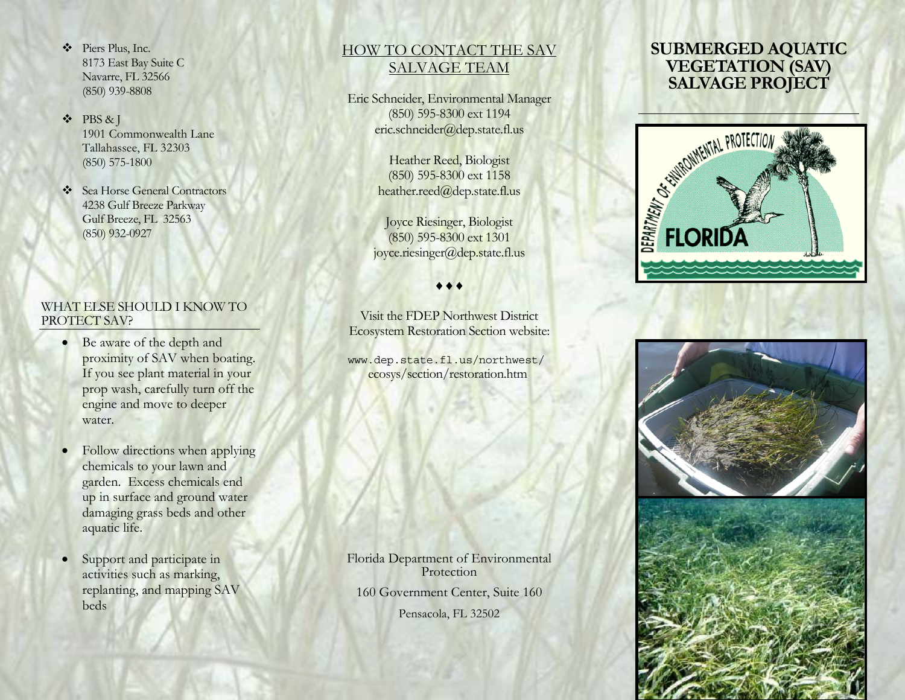- Piers Plus, Inc. 8173 East Bay Suite C Navarre, FL 32566 (850) 939-8808
- PBS & J 1901 Commonwealth Lane Tallahassee, FL 32303 (850) 575-1800
- Sea Horse General Contractors 4238 Gulf Breeze Parkway Gulf Breeze, FL 32563 (850) 932-0927

#### WHAT ELSE SHOULD I KNOW TO PROTECT SAV?

- Be aware of the depth and proximity of SAV when b oating. If you see plant material in your prop wash, carefully turn off the engine and move to deeper water.
- Follow directions when applying chemicals to your lawn and garden. Excess chemicals end up in surface and ground water damaging grass beds and other aquatic life.
- Support and participate in activities such as marking, replanting, and mapping SAV beds

# HOW TO CONTACT THE SAV SALVAGE TEAM

Eric Schneider, Environmental Manager (850) 595-8300 ext 1194 eric.schneider@dep.state.fl.us

> Heather Reed, Biologist (850) 595-8300 ext 1158 heather.reed@dep.state.fl.us

Joyce Riesinger, Biologist (850) 595-8300 ext 1301 joyce.riesinger@dep.state.fl.us

♦♦♦

Visit the FDEP Northwest District Ecosystem Restoration Section website:

www.dep.st ate.fl.us/ northwest/ ecosys/section/restoration.htm

Florida Department of Environmental Protection 160 Government Center, Suite 160 Pensacola, FL 32502

### **SUBMERGED AQUATIC VEGETATION (SAV) SALVAGE PROJECT**